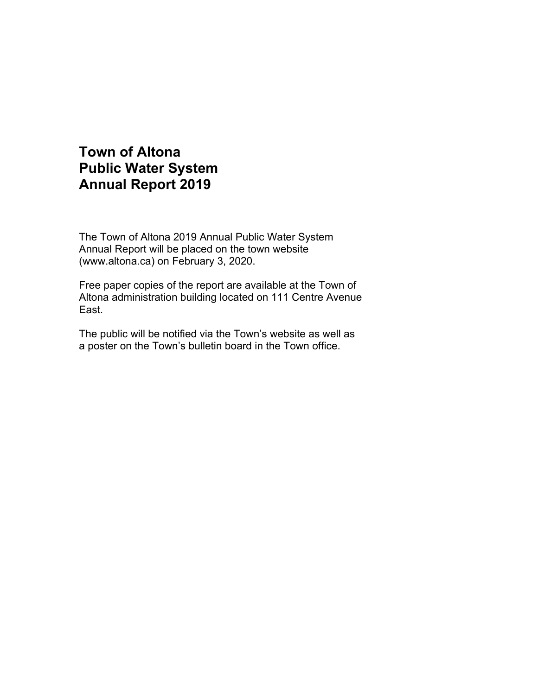# **Town of Altona Public Water System Annual Report 2019**

The Town of Altona 2019 Annual Public Water System Annual Report will be placed on the town website (www.altona.ca) on February 3, 2020.

Free paper copies of the report are available at the Town of Altona administration building located on 111 Centre Avenue East.

The public will be notified via the Town's website as well as a poster on the Town's bulletin board in the Town office.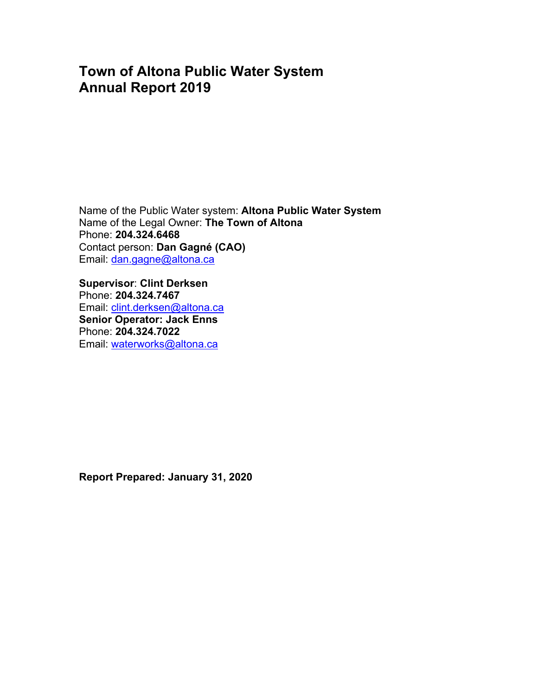## **Town of Altona Public Water System Annual Report 2019**

Name of the Public Water system: **Altona Public Water System** Name of the Legal Owner: **The Town of Altona** Phone: **204.324.6468**  Contact person: **Dan Gagné (CAO)**  Email: dan.gagne@altona.ca

**Supervisor**: **Clint Derksen**  Phone: **204.324.7467**  Email: clint.derksen@altona.ca **Senior Operator: Jack Enns** Phone: **204.324.7022**  Email: waterworks@altona.ca

**Report Prepared: January 31, 2020**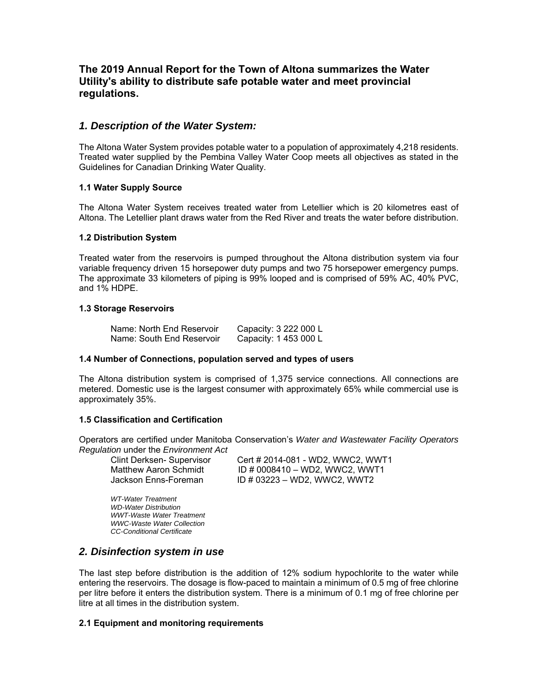### **The 2019 Annual Report for the Town of Altona summarizes the Water Utility's ability to distribute safe potable water and meet provincial regulations.**

#### *1. Description of the Water System:*

The Altona Water System provides potable water to a population of approximately 4,218 residents. Treated water supplied by the Pembina Valley Water Coop meets all objectives as stated in the Guidelines for Canadian Drinking Water Quality.

#### **1.1 Water Supply Source**

The Altona Water System receives treated water from Letellier which is 20 kilometres east of Altona. The Letellier plant draws water from the Red River and treats the water before distribution.

#### **1.2 Distribution System**

Treated water from the reservoirs is pumped throughout the Altona distribution system via four variable frequency driven 15 horsepower duty pumps and two 75 horsepower emergency pumps. The approximate 33 kilometers of piping is 99% looped and is comprised of 59% AC, 40% PVC, and 1% HDPE.

#### **1.3 Storage Reservoirs**

| Name: North End Reservoir | Capacity: 3 222 000 L |
|---------------------------|-----------------------|
| Name: South End Reservoir | Capacity: 1 453 000 L |

#### **1.4 Number of Connections, population served and types of users**

The Altona distribution system is comprised of 1,375 service connections. All connections are metered. Domestic use is the largest consumer with approximately 65% while commercial use is approximately 35%.

#### **1.5 Classification and Certification**

Operators are certified under Manitoba Conservation's *Water and Wastewater Facility Operators Regulation* under the *Environment Act*

 Clint Derksen- Supervisor Cert # 2014-081 - WD2, WWC2, WWT1 Matthew Aaron Schmidt  $ID # 0008410 - WD2$ , WWC2, WWT1 Jackson Enns-Foreman ID # 03223 - WD2, WWC2, WWT2

 *WT-Water Treatment WD-Water Distribution WWT-Waste Water Treatment WWC-Waste Water Collection CC-Conditional Certificate* 

### *2. Disinfection system in use*

The last step before distribution is the addition of 12% sodium hypochlorite to the water while entering the reservoirs. The dosage is flow-paced to maintain a minimum of 0.5 mg of free chlorine per litre before it enters the distribution system. There is a minimum of 0.1 mg of free chlorine per litre at all times in the distribution system.

#### **2.1 Equipment and monitoring requirements**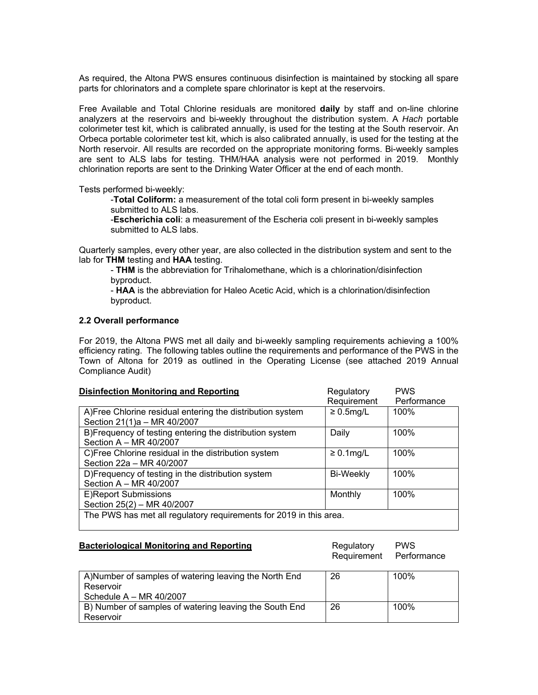As required, the Altona PWS ensures continuous disinfection is maintained by stocking all spare parts for chlorinators and a complete spare chlorinator is kept at the reservoirs.

Free Available and Total Chlorine residuals are monitored **daily** by staff and on-line chlorine analyzers at the reservoirs and bi-weekly throughout the distribution system. A *Hach* portable colorimeter test kit, which is calibrated annually, is used for the testing at the South reservoir. An Orbeca portable colorimeter test kit, which is also calibrated annually, is used for the testing at the North reservoir. All results are recorded on the appropriate monitoring forms. Bi-weekly samples are sent to ALS labs for testing. THM/HAA analysis were not performed in 2019. Monthly chlorination reports are sent to the Drinking Water Officer at the end of each month.

Tests performed bi-weekly:

-**Total Coliform:** a measurement of the total coli form present in bi-weekly samples submitted to ALS labs.

-**Escherichia coli**: a measurement of the Escheria coli present in bi-weekly samples submitted to ALS labs.

Quarterly samples, every other year, are also collected in the distribution system and sent to the lab for **THM** testing and **HAA** testing.

- **THM** is the abbreviation for Trihalomethane, which is a chlorination/disinfection byproduct.

- **HAA** is the abbreviation for Haleo Acetic Acid, which is a chlorination/disinfection byproduct.

#### **2.2 Overall performance**

For 2019, the Altona PWS met all daily and bi-weekly sampling requirements achieving a 100% efficiency rating. The following tables outline the requirements and performance of the PWS in the Town of Altona for 2019 as outlined in the Operating License (see attached 2019 Annual Compliance Audit)

| <b>Disinfection Monitoring and Reporting</b>                                              | Regulatory       | <b>PWS</b>  |
|-------------------------------------------------------------------------------------------|------------------|-------------|
|                                                                                           | Requirement      | Performance |
| A) Free Chlorine residual entering the distribution system<br>Section 21(1)a - MR 40/2007 | $\geq 0.5$ mg/L  | 100%        |
| B)Frequency of testing entering the distribution system<br>Section A - MR 40/2007         | Daily            | 100%        |
| C) Free Chlorine residual in the distribution system<br>Section 22a - MR 40/2007          | $\geq 0.1$ mg/L  | 100%        |
| D)Frequency of testing in the distribution system<br>Section A - MR 40/2007               | <b>Bi-Weekly</b> | 100%        |
| E)Report Submissions<br>Section 25(2) - MR 40/2007                                        | Monthly          | 100%        |
| The PWS has met all regulatory requirements for 2019 in this area.                        |                  |             |

| <b>Bacteriological Monitoring and Reporting</b> | Regulatory              | <b>PWS</b> |
|-------------------------------------------------|-------------------------|------------|
|                                                 | Requirement Performance |            |

| A) Number of samples of watering leaving the North End | 26 | 100% |
|--------------------------------------------------------|----|------|
| Reservoir                                              |    |      |
| Schedule $A - MR 40/2007$                              |    |      |
| B) Number of samples of watering leaving the South End | 26 | 100% |
| Reservoir                                              |    |      |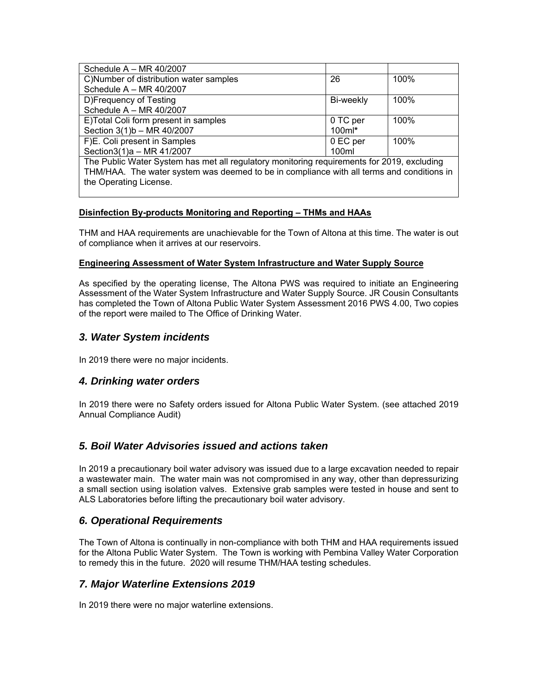| Schedule $A - MR 40/2007$                                                                  |           |      |
|--------------------------------------------------------------------------------------------|-----------|------|
| C)Number of distribution water samples                                                     | 26        | 100% |
| Schedule $A - MR 40/2007$                                                                  |           |      |
| D)Frequency of Testing                                                                     | Bi-weekly | 100% |
| Schedule $A - MR 40/2007$                                                                  |           |      |
| E)Total Coli form present in samples                                                       | 0 TC per  | 100% |
| Section 3(1)b - MR 40/2007                                                                 | $100ml*$  |      |
| F)E. Coli present in Samples                                                               | 0 EC per  | 100% |
| Section3(1)a - MR 41/2007                                                                  | 100ml     |      |
| The Public Water System has met all regulatory monitoring requirements for 2019, excluding |           |      |
| THM/HAA. The water system was deemed to be in compliance with all terms and conditions in  |           |      |

## **Disinfection By-products Monitoring and Reporting – THMs and HAAs**

THM and HAA requirements are unachievable for the Town of Altona at this time. The water is out of compliance when it arrives at our reservoirs.

#### **Engineering Assessment of Water System Infrastructure and Water Supply Source**

As specified by the operating license, The Altona PWS was required to initiate an Engineering Assessment of the Water System Infrastructure and Water Supply Source. JR Cousin Consultants has completed the Town of Altona Public Water System Assessment 2016 PWS 4.00, Two copies of the report were mailed to The Office of Drinking Water.

## *3. Water System incidents*

the Operating License.

In 2019 there were no major incidents.

## *4. Drinking water orders*

In 2019 there were no Safety orders issued for Altona Public Water System. (see attached 2019 Annual Compliance Audit)

## *5. Boil Water Advisories issued and actions taken*

In 2019 a precautionary boil water advisory was issued due to a large excavation needed to repair a wastewater main. The water main was not compromised in any way, other than depressurizing a small section using isolation valves. Extensive grab samples were tested in house and sent to ALS Laboratories before lifting the precautionary boil water advisory.

## *6. Operational Requirements*

The Town of Altona is continually in non-compliance with both THM and HAA requirements issued for the Altona Public Water System. The Town is working with Pembina Valley Water Corporation to remedy this in the future. 2020 will resume THM/HAA testing schedules.

## *7. Major Waterline Extensions 2019*

In 2019 there were no major waterline extensions.